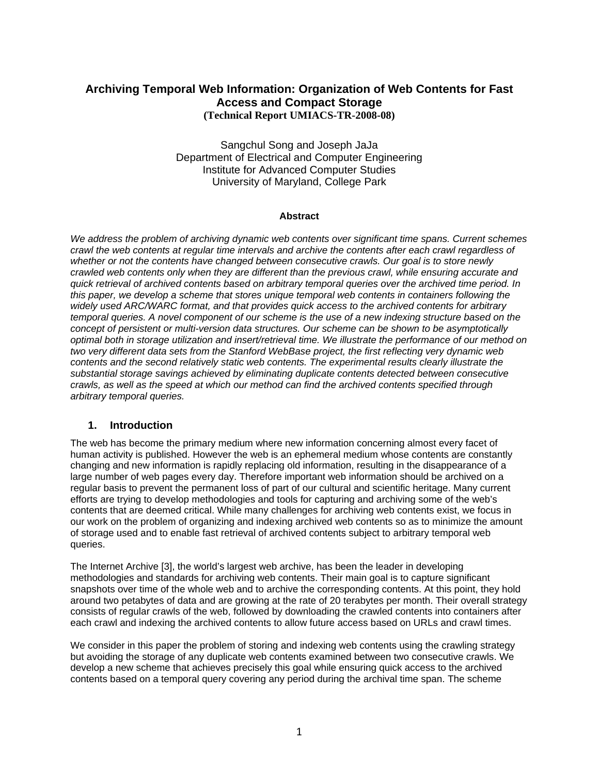## **Archiving Temporal Web Information: Organization of Web Contents for Fast Access and Compact Storage (Technical Report UMIACS-TR-2008-08)**

Sangchul Song and Joseph JaJa Department of Electrical and Computer Engineering Institute for Advanced Computer Studies University of Maryland, College Park

#### **Abstract**

*We address the problem of archiving dynamic web contents over significant time spans. Current schemes crawl the web contents at regular time intervals and archive the contents after each crawl regardless of whether or not the contents have changed between consecutive crawls. Our goal is to store newly crawled web contents only when they are different than the previous crawl, while ensuring accurate and quick retrieval of archived contents based on arbitrary temporal queries over the archived time period. In this paper, we develop a scheme that stores unique temporal web contents in containers following the widely used ARC/WARC format, and that provides quick access to the archived contents for arbitrary temporal queries. A novel component of our scheme is the use of a new indexing structure based on the concept of persistent or multi-version data structures. Our scheme can be shown to be asymptotically optimal both in storage utilization and insert/retrieval time. We illustrate the performance of our method on two very different data sets from the Stanford WebBase project, the first reflecting very dynamic web contents and the second relatively static web contents. The experimental results clearly illustrate the substantial storage savings achieved by eliminating duplicate contents detected between consecutive crawls, as well as the speed at which our method can find the archived contents specified through arbitrary temporal queries.* 

## **1. Introduction**

The web has become the primary medium where new information concerning almost every facet of human activity is published. However the web is an ephemeral medium whose contents are constantly changing and new information is rapidly replacing old information, resulting in the disappearance of a large number of web pages every day. Therefore important web information should be archived on a regular basis to prevent the permanent loss of part of our cultural and scientific heritage. Many current efforts are trying to develop methodologies and tools for capturing and archiving some of the web's contents that are deemed critical. While many challenges for archiving web contents exist, we focus in our work on the problem of organizing and indexing archived web contents so as to minimize the amount of storage used and to enable fast retrieval of archived contents subject to arbitrary temporal web queries.

The Internet Archive [3], the world's largest web archive, has been the leader in developing methodologies and standards for archiving web contents. Their main goal is to capture significant snapshots over time of the whole web and to archive the corresponding contents. At this point, they hold around two petabytes of data and are growing at the rate of 20 terabytes per month. Their overall strategy consists of regular crawls of the web, followed by downloading the crawled contents into containers after each crawl and indexing the archived contents to allow future access based on URLs and crawl times.

We consider in this paper the problem of storing and indexing web contents using the crawling strategy but avoiding the storage of any duplicate web contents examined between two consecutive crawls. We develop a new scheme that achieves precisely this goal while ensuring quick access to the archived contents based on a temporal query covering any period during the archival time span. The scheme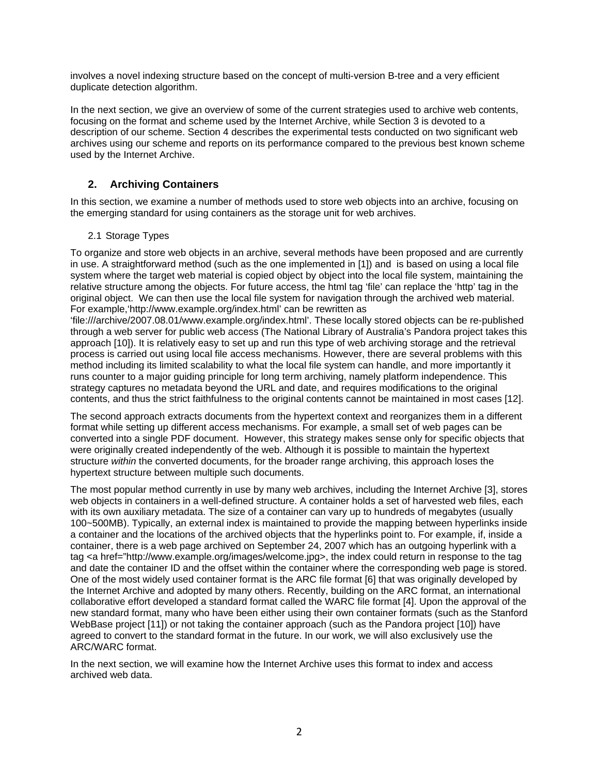involves a novel indexing structure based on the concept of multi-version B-tree and a very efficient duplicate detection algorithm.

In the next section, we give an overview of some of the current strategies used to archive web contents, focusing on the format and scheme used by the Internet Archive, while Section 3 is devoted to a description of our scheme. Section 4 describes the experimental tests conducted on two significant web archives using our scheme and reports on its performance compared to the previous best known scheme used by the Internet Archive.

## **2. Archiving Containers**

In this section, we examine a number of methods used to store web objects into an archive, focusing on the emerging standard for using containers as the storage unit for web archives.

## 2.1 Storage Types

To organize and store web objects in an archive, several methods have been proposed and are currently in use. A straightforward method (such as the one implemented in [1]) and is based on using a local file system where the target web material is copied object by object into the local file system, maintaining the relative structure among the objects. For future access, the html tag 'file' can replace the 'http' tag in the original object. We can then use the local file system for navigation through the archived web material. For example,'http://www.example.org/index.html' can be rewritten as

'file:///archive/2007.08.01/www.example.org/index.html'. These locally stored objects can be re-published through a web server for public web access (The National Library of Australia's Pandora project takes this approach [10]). It is relatively easy to set up and run this type of web archiving storage and the retrieval process is carried out using local file access mechanisms. However, there are several problems with this method including its limited scalability to what the local file system can handle, and more importantly it runs counter to a major guiding principle for long term archiving, namely platform independence. This strategy captures no metadata beyond the URL and date, and requires modifications to the original contents, and thus the strict faithfulness to the original contents cannot be maintained in most cases [12].

The second approach extracts documents from the hypertext context and reorganizes them in a different format while setting up different access mechanisms. For example, a small set of web pages can be converted into a single PDF document. However, this strategy makes sense only for specific objects that were originally created independently of the web. Although it is possible to maintain the hypertext structure *within* the converted documents, for the broader range archiving, this approach loses the hypertext structure between multiple such documents.

The most popular method currently in use by many web archives, including the Internet Archive [3], stores web objects in containers in a well-defined structure. A container holds a set of harvested web files, each with its own auxiliary metadata. The size of a container can vary up to hundreds of megabytes (usually 100~500MB). Typically, an external index is maintained to provide the mapping between hyperlinks inside a container and the locations of the archived objects that the hyperlinks point to. For example, if, inside a container, there is a web page archived on September 24, 2007 which has an outgoing hyperlink with a tag <a href="http://www.example.org/images/welcome.jpg>, the index could return in response to the tag and date the container ID and the offset within the container where the corresponding web page is stored. One of the most widely used container format is the ARC file format [6] that was originally developed by the Internet Archive and adopted by many others. Recently, building on the ARC format, an international collaborative effort developed a standard format called the WARC file format [4]. Upon the approval of the new standard format, many who have been either using their own container formats (such as the Stanford WebBase project [11]) or not taking the container approach (such as the Pandora project [10]) have agreed to convert to the standard format in the future. In our work, we will also exclusively use the ARC/WARC format.

In the next section, we will examine how the Internet Archive uses this format to index and access archived web data.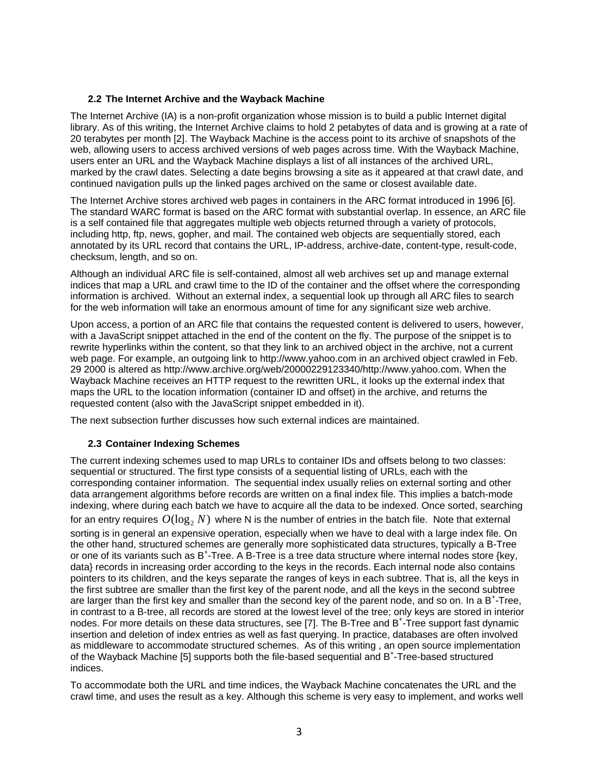#### **2.2 The Internet Archive and the Wayback Machine**

The Internet Archive (IA) is a non-profit organization whose mission is to build a public Internet digital library. As of this writing, the Internet Archive claims to hold 2 petabytes of data and is growing at a rate of 20 terabytes per month [2]. The Wayback Machine is the access point to its archive of snapshots of the web, allowing users to access archived versions of web pages across time. With the Wayback Machine, users enter an URL and the Wayback Machine displays a list of all instances of the archived URL, marked by the crawl dates. Selecting a date begins browsing a site as it appeared at that crawl date, and continued navigation pulls up the linked pages archived on the same or closest available date.

The Internet Archive stores archived web pages in containers in the ARC format introduced in 1996 [6]. The standard WARC format is based on the ARC format with substantial overlap. In essence, an ARC file is a self contained file that aggregates multiple web objects returned through a variety of protocols, including http, ftp, news, gopher, and mail. The contained web objects are sequentially stored, each annotated by its URL record that contains the URL, IP-address, archive-date, content-type, result-code, checksum, length, and so on.

Although an individual ARC file is self-contained, almost all web archives set up and manage external indices that map a URL and crawl time to the ID of the container and the offset where the corresponding information is archived. Without an external index, a sequential look up through all ARC files to search for the web information will take an enormous amount of time for any significant size web archive.

Upon access, a portion of an ARC file that contains the requested content is delivered to users, however, with a JavaScript snippet attached in the end of the content on the fly. The purpose of the snippet is to rewrite hyperlinks within the content, so that they link to an archived object in the archive, not a current web page. For example, an outgoing link to http://www.yahoo.com in an archived object crawled in Feb. 29 2000 is altered as http://www.archive.org/web/20000229123340/http://www.yahoo.com. When the Wayback Machine receives an HTTP request to the rewritten URL, it looks up the external index that maps the URL to the location information (container ID and offset) in the archive, and returns the requested content (also with the JavaScript snippet embedded in it).

The next subsection further discusses how such external indices are maintained.

## **2.3 Container Indexing Schemes**

The current indexing schemes used to map URLs to container IDs and offsets belong to two classes: sequential or structured. The first type consists of a sequential listing of URLs, each with the corresponding container information. The sequential index usually relies on external sorting and other data arrangement algorithms before records are written on a final index file. This implies a batch-mode indexing, where during each batch we have to acquire all the data to be indexed. Once sorted, searching for an entry requires  $O(\log_2 N)$  where N is the number of entries in the batch file. Note that external sorting is in general an expensive operation, especially when we have to deal with a large index file. On the other hand, structured schemes are generally more sophisticated data structures, typically a B-Tree or one of its variants such as B<sup>+</sup>-Tree. A B-Tree is a tree data structure where internal nodes store {key, data} records in increasing order according to the keys in the records. Each internal node also contains pointers to its children, and the keys separate the ranges of keys in each subtree. That is, all the keys in the first subtree are smaller than the first key of the parent node, and all the keys in the second subtree are larger than the first key and smaller than the second key of the parent node, and so on. In a B<sup>+</sup>-Tree, in contrast to a B-tree, all records are stored at the lowest level of the tree; only keys are stored in interior nodes. For more details on these data structures, see [7]. The B-Tree and B<sup>+</sup>-Tree support fast dynamic insertion and deletion of index entries as well as fast querying. In practice, databases are often involved as middleware to accommodate structured schemes. As of this writing , an open source implementation of the Wayback Machine [5] supports both the file-based sequential and B<sup>+</sup>-Tree-based structured indices.

To accommodate both the URL and time indices, the Wayback Machine concatenates the URL and the crawl time, and uses the result as a key. Although this scheme is very easy to implement, and works well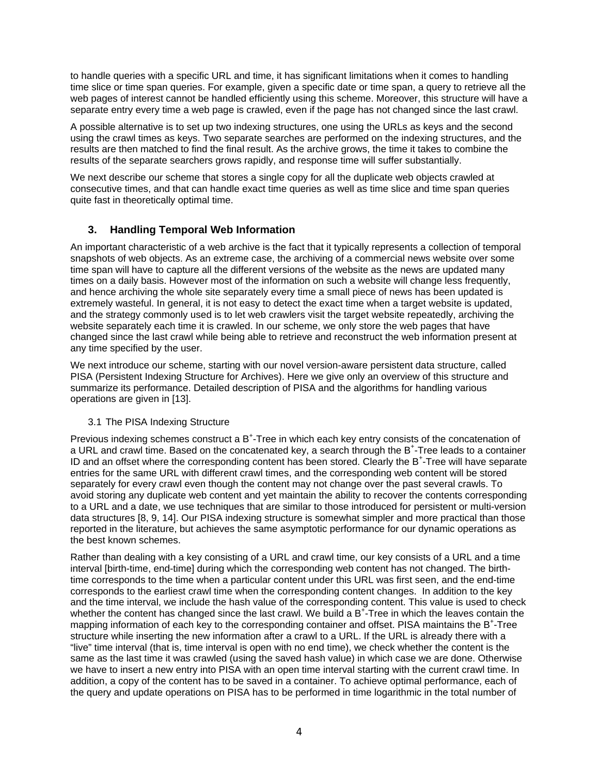to handle queries with a specific URL and time, it has significant limitations when it comes to handling time slice or time span queries. For example, given a specific date or time span, a query to retrieve all the web pages of interest cannot be handled efficiently using this scheme. Moreover, this structure will have a separate entry every time a web page is crawled, even if the page has not changed since the last crawl.

A possible alternative is to set up two indexing structures, one using the URLs as keys and the second using the crawl times as keys. Two separate searches are performed on the indexing structures, and the results are then matched to find the final result. As the archive grows, the time it takes to combine the results of the separate searchers grows rapidly, and response time will suffer substantially.

We next describe our scheme that stores a single copy for all the duplicate web objects crawled at consecutive times, and that can handle exact time queries as well as time slice and time span queries quite fast in theoretically optimal time.

## **3. Handling Temporal Web Information**

An important characteristic of a web archive is the fact that it typically represents a collection of temporal snapshots of web objects. As an extreme case, the archiving of a commercial news website over some time span will have to capture all the different versions of the website as the news are updated many times on a daily basis. However most of the information on such a website will change less frequently, and hence archiving the whole site separately every time a small piece of news has been updated is extremely wasteful. In general, it is not easy to detect the exact time when a target website is updated, and the strategy commonly used is to let web crawlers visit the target website repeatedly, archiving the website separately each time it is crawled. In our scheme, we only store the web pages that have changed since the last crawl while being able to retrieve and reconstruct the web information present at any time specified by the user.

We next introduce our scheme, starting with our novel version-aware persistent data structure, called PISA (Persistent Indexing Structure for Archives). Here we give only an overview of this structure and summarize its performance. Detailed description of PISA and the algorithms for handling various operations are given in [13].

## 3.1 The PISA Indexing Structure

Previous indexing schemes construct a B<sup>+</sup>-Tree in which each key entry consists of the concatenation of a URL and crawl time. Based on the concatenated key, a search through the B<sup>+</sup>-Tree leads to a container ID and an offset where the corresponding content has been stored. Clearly the B<sup>+</sup>-Tree will have separate entries for the same URL with different crawl times, and the corresponding web content will be stored separately for every crawl even though the content may not change over the past several crawls. To avoid storing any duplicate web content and yet maintain the ability to recover the contents corresponding to a URL and a date, we use techniques that are similar to those introduced for persistent or multi-version data structures [8, 9, 14]. Our PISA indexing structure is somewhat simpler and more practical than those reported in the literature, but achieves the same asymptotic performance for our dynamic operations as the best known schemes.

Rather than dealing with a key consisting of a URL and crawl time, our key consists of a URL and a time interval [birth-time, end-time] during which the corresponding web content has not changed. The birthtime corresponds to the time when a particular content under this URL was first seen, and the end-time corresponds to the earliest crawl time when the corresponding content changes. In addition to the key and the time interval, we include the hash value of the corresponding content. This value is used to check whether the content has changed since the last crawl. We build a  $B^{\ddagger}$ -Tree in which the leaves contain the mapping information of each key to the corresponding container and offset. PISA maintains the B<sup>+</sup>-Tree structure while inserting the new information after a crawl to a URL. If the URL is already there with a "live" time interval (that is, time interval is open with no end time), we check whether the content is the same as the last time it was crawled (using the saved hash value) in which case we are done. Otherwise we have to insert a new entry into PISA with an open time interval starting with the current crawl time. In addition, a copy of the content has to be saved in a container. To achieve optimal performance, each of the query and update operations on PISA has to be performed in time logarithmic in the total number of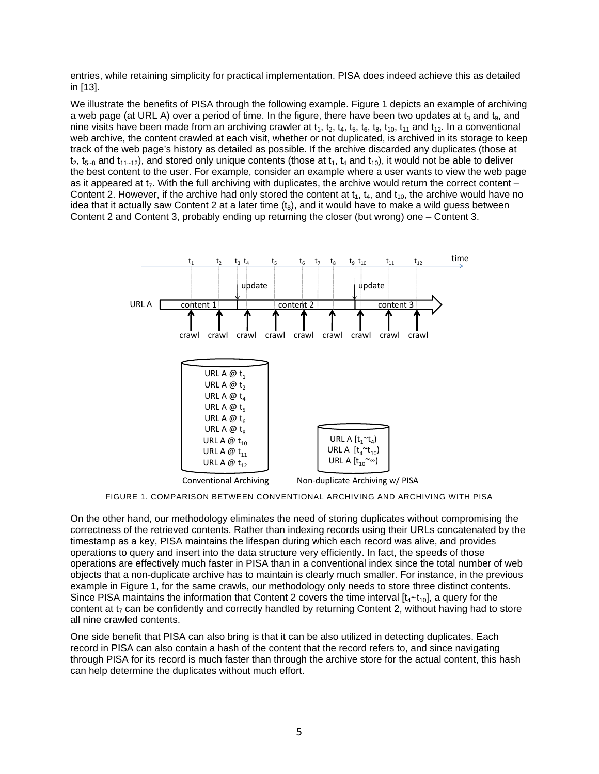entries, while retaining simplicity for practical implementation. PISA does indeed achieve this as detailed in [13].

We illustrate the benefits of PISA through the following example. Figure 1 depicts an example of archiving a web page (at URL A) over a period of time. In the figure, there have been two updates at  $t_3$  and  $t_9$ , and nine visits have been made from an archiving crawler at  $t_1$ ,  $t_2$ ,  $t_4$ ,  $t_5$ ,  $t_6$ ,  $t_8$ ,  $t_{10}$ ,  $t_{11}$  and  $t_{12}$ . In a conventional web archive, the content crawled at each visit, whether or not duplicated, is archived in its storage to keep track of the web page's history as detailed as possible. If the archive discarded any duplicates (those at  $t_2$ ,  $t_{5-8}$  and  $t_{11-12}$ ), and stored only unique contents (those at  $t_1$ ,  $t_4$  and  $t_{10}$ ), it would not be able to deliver the best content to the user. For example, consider an example where a user wants to view the web page as it appeared at  $t<sub>7</sub>$ . With the full archiving with duplicates, the archive would return the correct content – Content 2. However, if the archive had only stored the content at  $t_1$ ,  $t_4$ , and  $t_{10}$ , the archive would have no idea that it actually saw Content 2 at a later time  $(t_8)$ , and it would have to make a wild guess between Content 2 and Content 3, probably ending up returning the closer (but wrong) one – Content 3.



FIGURE 1. COMPARISON BETWEEN CONVENTIONAL ARCHIVING AND ARCHIVING WITH PISA

On the other hand, our methodology eliminates the need of storing duplicates without compromising the correctness of the retrieved contents. Rather than indexing records using their URLs concatenated by the timestamp as a key, PISA maintains the lifespan during which each record was alive, and provides operations to query and insert into the data structure very efficiently. In fact, the speeds of those operations are effectively much faster in PISA than in a conventional index since the total number of web objects that a non-duplicate archive has to maintain is clearly much smaller. For instance, in the previous example in Figure 1, for the same crawls, our methodology only needs to store three distinct contents. Since PISA maintains the information that Content 2 covers the time interval  $[t<sub>4</sub>-t<sub>10</sub>],$  a query for the content at  $t<sub>7</sub>$  can be confidently and correctly handled by returning Content 2, without having had to store all nine crawled contents.

One side benefit that PISA can also bring is that it can be also utilized in detecting duplicates. Each record in PISA can also contain a hash of the content that the record refers to, and since navigating through PISA for its record is much faster than through the archive store for the actual content, this hash can help determine the duplicates without much effort.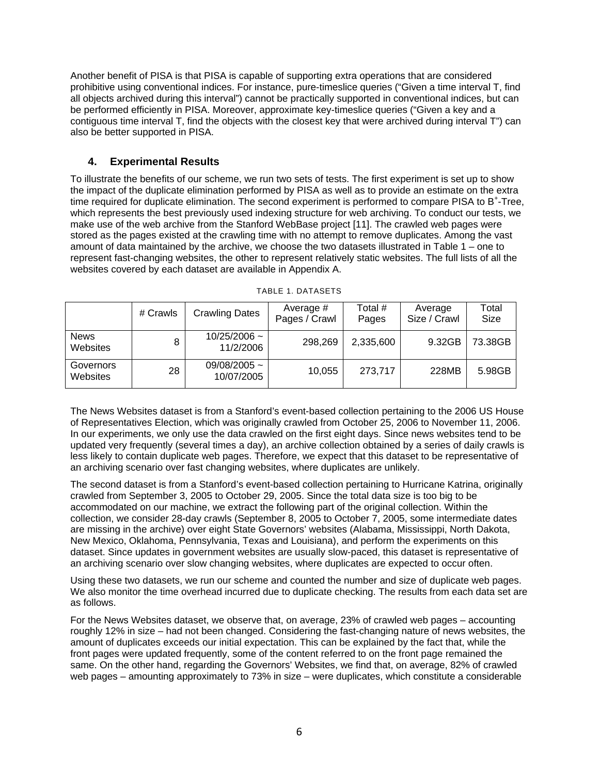Another benefit of PISA is that PISA is capable of supporting extra operations that are considered prohibitive using conventional indices. For instance, pure-timeslice queries ("Given a time interval T, find all objects archived during this interval") cannot be practically supported in conventional indices, but can be performed efficiently in PISA. Moreover, approximate key-timeslice queries ("Given a key and a contiguous time interval T, find the objects with the closest key that were archived during interval T") can also be better supported in PISA.

## **4. Experimental Results**

To illustrate the benefits of our scheme, we run two sets of tests. The first experiment is set up to show the impact of the duplicate elimination performed by PISA as well as to provide an estimate on the extra time required for duplicate elimination. The second experiment is performed to compare PISA to B<sup>+</sup>-Tree, which represents the best previously used indexing structure for web archiving. To conduct our tests, we make use of the web archive from the Stanford WebBase project [11]. The crawled web pages were stored as the pages existed at the crawling time with no attempt to remove duplicates. Among the vast amount of data maintained by the archive, we choose the two datasets illustrated in Table 1 – one to represent fast-changing websites, the other to represent relatively static websites. The full lists of all the websites covered by each dataset are available in Appendix A.

|                         | # Crawls | <b>Crawling Dates</b>           | Average #<br>Pages / Crawl | Total #<br>Pages | Average<br>Size / Crawl | Total<br>Size |
|-------------------------|----------|---------------------------------|----------------------------|------------------|-------------------------|---------------|
| <b>News</b><br>Websites | 8        | $10/25/2006$ ~<br>11/2/2006     | 298,269                    | 2,335,600        | 9.32GB                  | 73.38GB       |
| Governors<br>Websites   | 28       | 09/08/2005 $\sim$<br>10/07/2005 | 10,055                     | 273,717          | 228MB                   | 5.98GB        |

TABLE 1. DATASETS

The News Websites dataset is from a Stanford's event-based collection pertaining to the 2006 US House of Representatives Election, which was originally crawled from October 25, 2006 to November 11, 2006. In our experiments, we only use the data crawled on the first eight days. Since news websites tend to be updated very frequently (several times a day), an archive collection obtained by a series of daily crawls is less likely to contain duplicate web pages. Therefore, we expect that this dataset to be representative of an archiving scenario over fast changing websites, where duplicates are unlikely.

The second dataset is from a Stanford's event-based collection pertaining to Hurricane Katrina, originally crawled from September 3, 2005 to October 29, 2005. Since the total data size is too big to be accommodated on our machine, we extract the following part of the original collection. Within the collection, we consider 28-day crawls (September 8, 2005 to October 7, 2005, some intermediate dates are missing in the archive) over eight State Governors' websites (Alabama, Mississippi, North Dakota, New Mexico, Oklahoma, Pennsylvania, Texas and Louisiana), and perform the experiments on this dataset. Since updates in government websites are usually slow-paced, this dataset is representative of an archiving scenario over slow changing websites, where duplicates are expected to occur often.

Using these two datasets, we run our scheme and counted the number and size of duplicate web pages. We also monitor the time overhead incurred due to duplicate checking. The results from each data set are as follows.

For the News Websites dataset, we observe that, on average, 23% of crawled web pages – accounting roughly 12% in size – had not been changed. Considering the fast-changing nature of news websites, the amount of duplicates exceeds our initial expectation. This can be explained by the fact that, while the front pages were updated frequently, some of the content referred to on the front page remained the same. On the other hand, regarding the Governors' Websites, we find that, on average, 82% of crawled web pages – amounting approximately to 73% in size – were duplicates, which constitute a considerable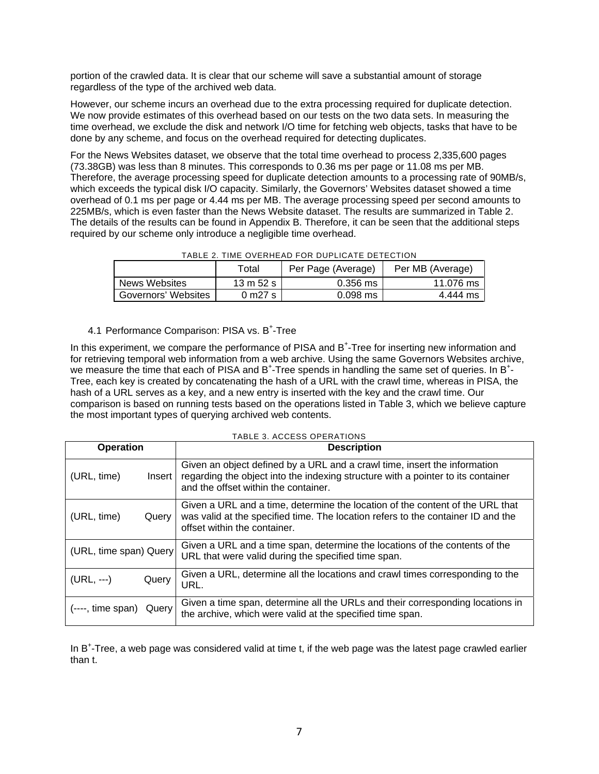portion of the crawled data. It is clear that our scheme will save a substantial amount of storage regardless of the type of the archived web data.

However, our scheme incurs an overhead due to the extra processing required for duplicate detection. We now provide estimates of this overhead based on our tests on the two data sets. In measuring the time overhead, we exclude the disk and network I/O time for fetching web objects, tasks that have to be done by any scheme, and focus on the overhead required for detecting duplicates.

For the News Websites dataset, we observe that the total time overhead to process 2,335,600 pages (73.38GB) was less than 8 minutes. This corresponds to 0.36 ms per page or 11.08 ms per MB. Therefore, the average processing speed for duplicate detection amounts to a processing rate of 90MB/s, which exceeds the typical disk I/O capacity. Similarly, the Governors' Websites dataset showed a time overhead of 0.1 ms per page or 4.44 ms per MB. The average processing speed per second amounts to 225MB/s, which is even faster than the News Website dataset. The results are summarized in Table 2. The details of the results can be found in Appendix B. Therefore, it can be seen that the additional steps required by our scheme only introduce a negligible time overhead.

|                            | Total               | Per Page (Average) | Per MB (Average) |
|----------------------------|---------------------|--------------------|------------------|
| News Websites              | $13 \text{ m}$ 52 s | $0.356$ ms         | 11.076 ms        |
| <b>Governors' Websites</b> | 0 m27 s             | $0.098$ ms         | 4.444 ms         |

TABLE 2. TIME OVERHEAD FOR DUPLICATE DETECTION

## 4.1 Performance Comparison: PISA vs. B<sup>+</sup>-Tree

In this experiment, we compare the performance of PISA and B<sup>+</sup>-Tree for inserting new information and for retrieving temporal web information from a web archive. Using the same Governors Websites archive, we measure the time that each of PISA and B<sup>+</sup>-Tree spends in handling the same set of queries. In B<sup>+</sup>-Tree, each key is created by concatenating the hash of a URL with the crawl time, whereas in PISA, the hash of a URL serves as a key, and a new entry is inserted with the key and the crawl time. Our comparison is based on running tests based on the operations listed in Table 3, which we believe capture the most important types of querying archived web contents.

| <b>Operation</b>        |        | <b>Description</b>                                                                                                                                                                                    |
|-------------------------|--------|-------------------------------------------------------------------------------------------------------------------------------------------------------------------------------------------------------|
| (URL, time)             | Insert | Given an object defined by a URL and a crawl time, insert the information<br>regarding the object into the indexing structure with a pointer to its container<br>and the offset within the container. |
| (URL, time)             | Query  | Given a URL and a time, determine the location of the content of the URL that<br>was valid at the specified time. The location refers to the container ID and the<br>offset within the container.     |
| (URL, time span) Query  |        | Given a URL and a time span, determine the locations of the contents of the<br>URL that were valid during the specified time span.                                                                    |
| (URL, ---)              | Query  | Given a URL, determine all the locations and crawl times corresponding to the<br>URL.                                                                                                                 |
| (----, time span) Query |        | Given a time span, determine all the URLs and their corresponding locations in<br>the archive, which were valid at the specified time span.                                                           |

In B<sup>+</sup>-Tree, a web page was considered valid at time t, if the web page was the latest page crawled earlier than t.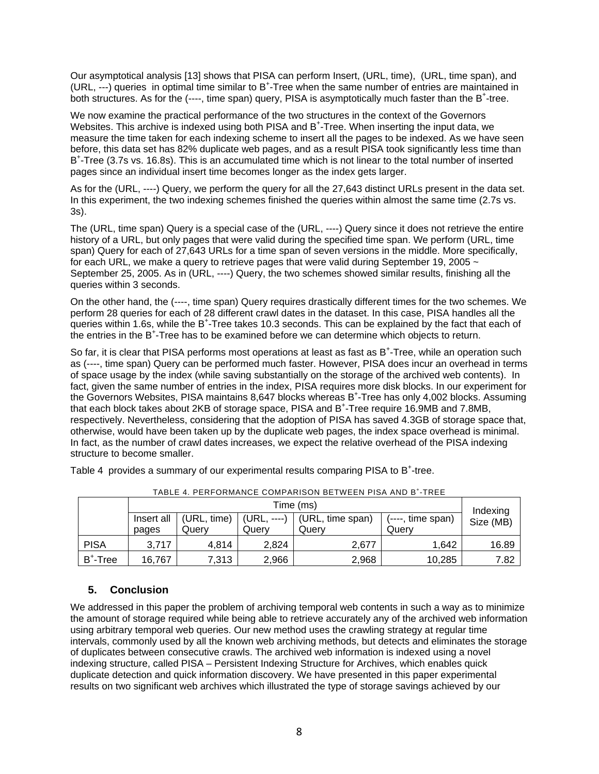Our asymptotical analysis [13] shows that PISA can perform Insert, (URL, time), (URL, time span), and (URL, ---) queries in optimal time similar to B<sup>+</sup>-Tree when the same number of entries are maintained in both structures. As for the (----, time span) query, PISA is asymptotically much faster than the B<sup>+</sup>-tree.

We now examine the practical performance of the two structures in the context of the Governors Websites. This archive is indexed using both PISA and B<sup>+</sup>-Tree. When inserting the input data, we measure the time taken for each indexing scheme to insert all the pages to be indexed. As we have seen before, this data set has 82% duplicate web pages, and as a result PISA took significantly less time than B+ -Tree (3.7s vs. 16.8s). This is an accumulated time which is not linear to the total number of inserted pages since an individual insert time becomes longer as the index gets larger.

As for the (URL, ----) Query, we perform the query for all the 27,643 distinct URLs present in the data set. In this experiment, the two indexing schemes finished the queries within almost the same time (2.7s vs. 3s).

The (URL, time span) Query is a special case of the (URL, ----) Query since it does not retrieve the entire history of a URL, but only pages that were valid during the specified time span. We perform (URL, time span) Query for each of 27,643 URLs for a time span of seven versions in the middle. More specifically, for each URL, we make a query to retrieve pages that were valid during September 19, 2005  $\sim$ September 25, 2005. As in (URL, ----) Query, the two schemes showed similar results, finishing all the queries within 3 seconds.

On the other hand, the (----, time span) Query requires drastically different times for the two schemes. We perform 28 queries for each of 28 different crawl dates in the dataset. In this case, PISA handles all the .<br>queries within 1.6s, while the B<sup>+</sup>-Tree takes 10.3 seconds. This can be explained by the fact that each of the entries in the B<sup>+</sup>-Tree has to be examined before we can determine which objects to return.

So far, it is clear that PISA performs most operations at least as fast as B<sup>+</sup>-Tree, while an operation such as (----, time span) Query can be performed much faster. However, PISA does incur an overhead in terms of space usage by the index (while saving substantially on the storage of the archived web contents). In fact, given the same number of entries in the index, PISA requires more disk blocks. In our experiment for the Governors Websites, PISA maintains 8,647 blocks whereas B<sup>+</sup>-Tree has only 4,002 blocks. Assuming that each block takes about 2KB of storage space, PISA and B<sup>+</sup>-Tree require 16.9MB and 7.8MB, respectively. Nevertheless, considering that the adoption of PISA has saved 4.3GB of storage space that, otherwise, would have been taken up by the duplicate web pages, the index space overhead is minimal. In fact, as the number of crawl dates increases, we expect the relative overhead of the PISA indexing structure to become smaller.

| .           |                     |                      |                      |                           |                            |                       |  |  |
|-------------|---------------------|----------------------|----------------------|---------------------------|----------------------------|-----------------------|--|--|
|             | Time (ms)           |                      |                      |                           |                            |                       |  |  |
|             | Insert all<br>pages | (URL, time)<br>Querv | (URL, ----)<br>Querv | (URL, time span)<br>Querv | (----, time span)<br>Querv | Indexing<br>Size (MB) |  |  |
| <b>PISA</b> | 3.717               | 4,814                | 2.824                | 2,677                     | 1.642                      | 16.89                 |  |  |
| $B^+$ -Tree | 16,767              | 7,313                | 2,966                | 2,968                     | 10,285                     | 7.82                  |  |  |

Table 4 provides a summary of our experimental results comparing PISA to B<sup>+</sup>-tree.

## TABLE 4. PERFORMANCE COMPARISON BETWEEN PISA AND B<sup>+</sup>-TREE

## **5. Conclusion**

We addressed in this paper the problem of archiving temporal web contents in such a way as to minimize the amount of storage required while being able to retrieve accurately any of the archived web information using arbitrary temporal web queries. Our new method uses the crawling strategy at regular time intervals, commonly used by all the known web archiving methods, but detects and eliminates the storage of duplicates between consecutive crawls. The archived web information is indexed using a novel indexing structure, called PISA – Persistent Indexing Structure for Archives, which enables quick duplicate detection and quick information discovery. We have presented in this paper experimental results on two significant web archives which illustrated the type of storage savings achieved by our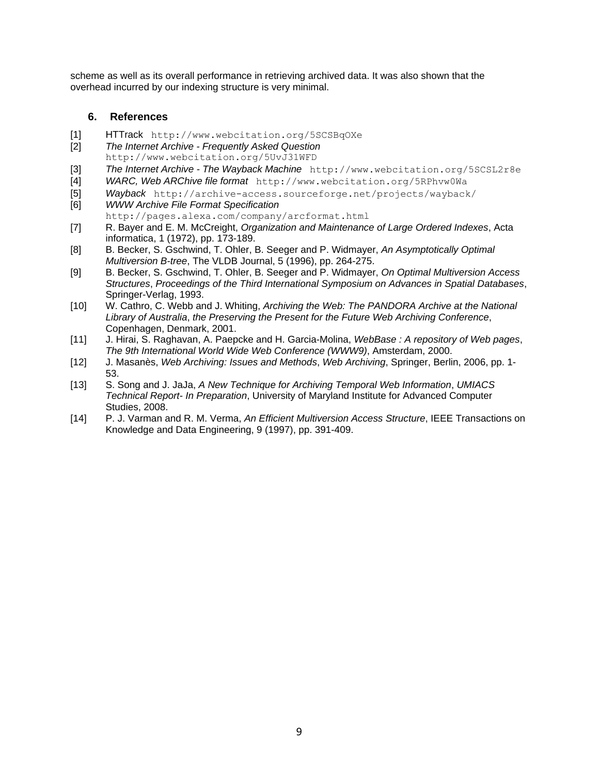scheme as well as its overall performance in retrieving archived data. It was also shown that the overhead incurred by our indexing structure is very minimal.

## **6. References**

- [1] HTTrack http://www.webcitation.org/5SCSBqOXe
- [2] *The Internet Archive Frequently Asked Question* http://www.webcitation.org/5UvJ31WFD
- [3] *The Internet Archive The Wayback Machine* http://www.webcitation.org/5SCSL2r8e
- [4] *WARC, Web ARChive file format* http://www.webcitation.org/5RPhvw0Wa
- [5] *Wayback* http://archive-access.sourceforge.net/projects/wayback/
- [6] *WWW Archive File Format Specification* http://pages.alexa.com/company/arcformat.html
- [7] R. Bayer and E. M. McCreight, *Organization and Maintenance of Large Ordered Indexes*, Acta informatica, 1 (1972), pp. 173-189.
- [8] B. Becker, S. Gschwind, T. Ohler, B. Seeger and P. Widmayer, *An Asymptotically Optimal Multiversion B-tree*, The VLDB Journal, 5 (1996), pp. 264-275.
- [9] B. Becker, S. Gschwind, T. Ohler, B. Seeger and P. Widmayer, *On Optimal Multiversion Access Structures*, *Proceedings of the Third International Symposium on Advances in Spatial Databases*, Springer-Verlag, 1993.
- [10] W. Cathro, C. Webb and J. Whiting, *Archiving the Web: The PANDORA Archive at the National Library of Australia*, *the Preserving the Present for the Future Web Archiving Conference*, Copenhagen, Denmark, 2001.
- [11] J. Hirai, S. Raghavan, A. Paepcke and H. Garcia-Molina, *WebBase : A repository of Web pages*, *The 9th International World Wide Web Conference (WWW9)*, Amsterdam, 2000.
- [12] J. Masanès, *Web Archiving: Issues and Methods*, *Web Archiving*, Springer, Berlin, 2006, pp. 1- 53.
- [13] S. Song and J. JaJa, *A New Technique for Archiving Temporal Web Information*, *UMIACS Technical Report- In Preparation*, University of Maryland Institute for Advanced Computer Studies, 2008.
- [14] P. J. Varman and R. M. Verma, *An Efficient Multiversion Access Structure*, IEEE Transactions on Knowledge and Data Engineering, 9 (1997), pp. 391-409.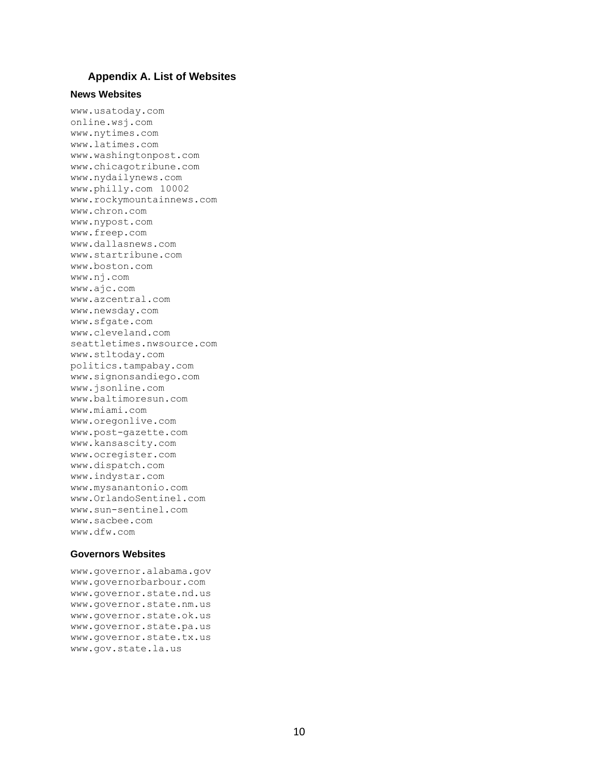#### **Appendix A. List of Websites**

#### **News Websites**

www.usatoday.com online.wsj.com www.nytimes.com www.latimes.com www.washingtonpost.com www.chicagotribune.com www.nydailynews.com www.philly.com 10002 www.rockymountainnews.com www.chron.com www.nypost.com www.freep.com www.dallasnews.com www.startribune.com www.boston.com www.nj.com www.ajc.com www.azcentral.com www.newsday.com www.sfgate.com www.cleveland.com seattletimes.nwsource.com www.stltoday.com politics.tampabay.com www.signonsandiego.com www.jsonline.com www.baltimoresun.com www.miami.com www.oregonlive.com www.post-gazette.com www.kansascity.com www.ocregister.com www.dispatch.com www.indystar.com www.mysanantonio.com www.OrlandoSentinel.com www.sun-sentinel.com www.sacbee.com www.dfw.com

#### **Governors Websites**

www.governor.alabama.gov www.governorbarbour.com www.governor.state.nd.us www.governor.state.nm.us www.governor.state.ok.us www.governor.state.pa.us www.governor.state.tx.us www.gov.state.la.us